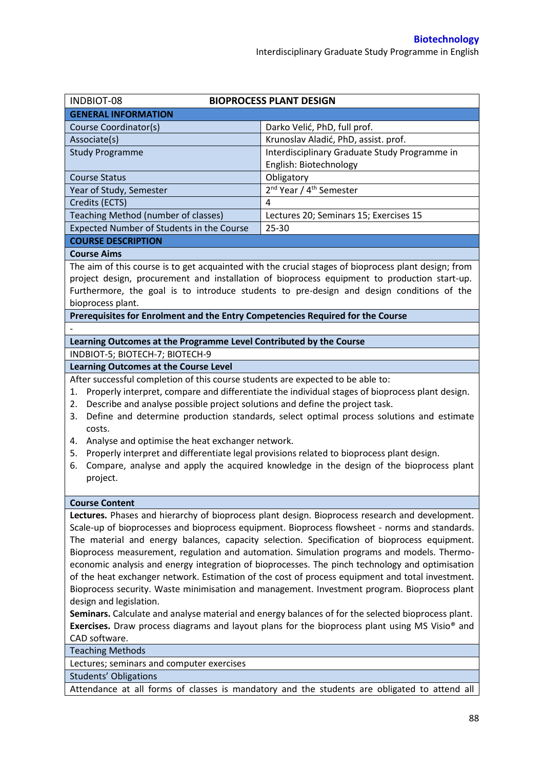| <b>INDBIOT-08</b>                                                                                                                                                                                    | <b>BIOPROCESS PLANT DESIGN</b>                                                            |  |  |  |
|------------------------------------------------------------------------------------------------------------------------------------------------------------------------------------------------------|-------------------------------------------------------------------------------------------|--|--|--|
| <b>GENERAL INFORMATION</b>                                                                                                                                                                           |                                                                                           |  |  |  |
| Course Coordinator(s)                                                                                                                                                                                | Darko Velić, PhD, full prof.                                                              |  |  |  |
| Associate(s)                                                                                                                                                                                         | Krunoslav Aladić, PhD, assist. prof.                                                      |  |  |  |
| <b>Study Programme</b>                                                                                                                                                                               | Interdisciplinary Graduate Study Programme in                                             |  |  |  |
|                                                                                                                                                                                                      | English: Biotechnology                                                                    |  |  |  |
| <b>Course Status</b>                                                                                                                                                                                 | Obligatory                                                                                |  |  |  |
| Year of Study, Semester                                                                                                                                                                              | 2 <sup>nd</sup> Year / 4 <sup>th</sup> Semester                                           |  |  |  |
| Credits (ECTS)                                                                                                                                                                                       | 4                                                                                         |  |  |  |
| Teaching Method (number of classes)                                                                                                                                                                  | Lectures 20; Seminars 15; Exercises 15                                                    |  |  |  |
| Expected Number of Students in the Course                                                                                                                                                            | 25-30                                                                                     |  |  |  |
| <b>COURSE DESCRIPTION</b>                                                                                                                                                                            |                                                                                           |  |  |  |
| <b>Course Aims</b>                                                                                                                                                                                   |                                                                                           |  |  |  |
| The aim of this course is to get acquainted with the crucial stages of bioprocess plant design; from<br>project design, procurement and installation of bioprocess equipment to production start-up. |                                                                                           |  |  |  |
|                                                                                                                                                                                                      | Furthermore, the goal is to introduce students to pre-design and design conditions of the |  |  |  |
| bioprocess plant.                                                                                                                                                                                    |                                                                                           |  |  |  |
| Prerequisites for Enrolment and the Entry Competencies Required for the Course                                                                                                                       |                                                                                           |  |  |  |
|                                                                                                                                                                                                      |                                                                                           |  |  |  |
| Learning Outcomes at the Programme Level Contributed by the Course                                                                                                                                   |                                                                                           |  |  |  |
| INDBIOT-5; BIOTECH-7; BIOTECH-9                                                                                                                                                                      |                                                                                           |  |  |  |
| <b>Learning Outcomes at the Course Level</b>                                                                                                                                                         |                                                                                           |  |  |  |
| After successful completion of this course students are expected to be able to:                                                                                                                      |                                                                                           |  |  |  |
| Properly interpret, compare and differentiate the individual stages of bioprocess plant design.<br>1.                                                                                                |                                                                                           |  |  |  |
| Describe and analyse possible project solutions and define the project task.<br>2.                                                                                                                   |                                                                                           |  |  |  |
| Define and determine production standards, select optimal process solutions and estimate<br>3.                                                                                                       |                                                                                           |  |  |  |
| costs.                                                                                                                                                                                               |                                                                                           |  |  |  |
| Analyse and optimise the heat exchanger network.<br>4.                                                                                                                                               |                                                                                           |  |  |  |
| Properly interpret and differentiate legal provisions related to bioprocess plant design.<br>5.                                                                                                      |                                                                                           |  |  |  |
| Compare, analyse and apply the acquired knowledge in the design of the bioprocess plant<br>6.                                                                                                        |                                                                                           |  |  |  |
| project.                                                                                                                                                                                             |                                                                                           |  |  |  |
| <b>Course Content</b>                                                                                                                                                                                |                                                                                           |  |  |  |
| $\sim$ $\sim$<br>$\cdots$                                                                                                                                                                            | $\mathbf{L}$<br>$\sim$<br>$\overline{\phantom{a}}$                                        |  |  |  |

**Lectures.** Phases and hierarchy of bioprocess plant design. Bioprocess research and development. Scale-up of bioprocesses and bioprocess equipment. Bioprocess flowsheet - norms and standards. The material and energy balances, capacity selection. Specification of bioprocess equipment. Bioprocess measurement, regulation and automation. Simulation programs and models. Thermoeconomic analysis and energy integration of bioprocesses. The pinch technology and optimisation of the heat exchanger network. Estimation of the cost of process equipment and total investment. Bioprocess security. Waste minimisation and management. Investment program. Bioprocess plant design and legislation.

**Seminars.** Calculate and analyse material and energy balances of for the selected bioprocess plant. **Exercises.** Draw process diagrams and layout plans for the bioprocess plant using MS Visio® and CAD software.

Teaching Methods

Lectures; seminars and computer exercises

Students' Obligations

Attendance at all forms of classes is mandatory and the students are obligated to attend all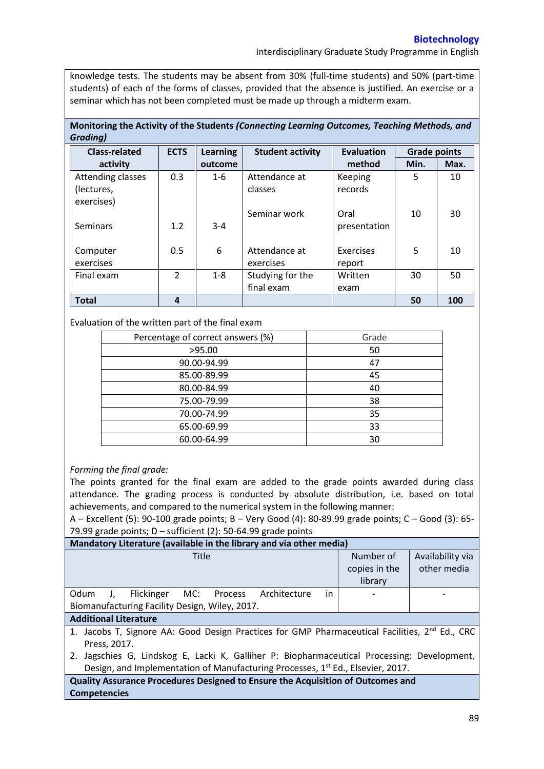Interdisciplinary Graduate Study Programme in English

knowledge tests. The students may be absent from 30% (full-time students) and 50% (part-time students) of each of the forms of classes, provided that the absence is justified. An exercise or a seminar which has not been completed must be made up through a midterm exam.

## **Monitoring the Activity of the Students** *(Connecting Learning Outcomes, Teaching Methods, and Grading)*

| <b>Class-related</b> | <b>ECTS</b>   | Learning | <b>Student activity</b> | <b>Evaluation</b> | <b>Grade points</b> |      |
|----------------------|---------------|----------|-------------------------|-------------------|---------------------|------|
| activity             |               | outcome  |                         | method            | Min.                | Max. |
| Attending classes    | 0.3           | $1 - 6$  | Attendance at           | <b>Keeping</b>    | 5                   | 10   |
| (lectures,           |               |          | classes                 | records           |                     |      |
| exercises)           |               |          |                         |                   |                     |      |
|                      |               |          | Seminar work            | Oral              | 10                  | 30   |
| Seminars             | 1.2           | $3 - 4$  |                         | presentation      |                     |      |
|                      |               |          |                         |                   |                     |      |
| Computer             | 0.5           | 6        | Attendance at           | Exercises         | 5                   | 10   |
| exercises            |               |          | exercises               | report            |                     |      |
| Final exam           | $\mathcal{P}$ | $1 - 8$  | Studying for the        | Written           | 30                  | 50   |
|                      |               |          | final exam              | exam              |                     |      |
| <b>Total</b>         | 4             |          |                         |                   | 50                  | 100  |

## Evaluation of the written part of the final exam

| Percentage of correct answers (%) | Grade |  |
|-----------------------------------|-------|--|
| >95.00                            | 50    |  |
| 90.00-94.99                       | 47    |  |
| 85.00-89.99                       | 45    |  |
| 80.00-84.99                       | 40    |  |
| 75.00-79.99                       | 38    |  |
| 70.00-74.99                       | 35    |  |
| 65.00-69.99                       | 33    |  |
| 60.00-64.99                       | 30    |  |

## *Forming the final grade:*

The points granted for the final exam are added to the grade points awarded during class attendance. The grading process is conducted by absolute distribution, i.e. based on total achievements, and compared to the numerical system in the following manner:

A – Excellent (5): 90-100 grade points; B – Very Good (4): 80-89.99 grade points; C – Good (3): 65- 79.99 grade points; D – sufficient (2): 50-64.99 grade points

| Mandatory Literature (available in the library and via other media)                                        |               |                  |  |  |  |  |
|------------------------------------------------------------------------------------------------------------|---------------|------------------|--|--|--|--|
| <b>Title</b>                                                                                               | Number of     | Availability via |  |  |  |  |
|                                                                                                            | copies in the | other media      |  |  |  |  |
|                                                                                                            | library       |                  |  |  |  |  |
| in<br>Odum<br>Flickinger MC: Process<br>Architecture                                                       |               |                  |  |  |  |  |
| Biomanufacturing Facility Design, Wiley, 2017.                                                             |               |                  |  |  |  |  |
| <b>Additional Literature</b>                                                                               |               |                  |  |  |  |  |
| 1. Jacobs T, Signore AA: Good Design Practices for GMP Pharmaceutical Facilities, 2 <sup>nd</sup> Ed., CRC |               |                  |  |  |  |  |
| Press, 2017.                                                                                               |               |                  |  |  |  |  |
| Jagschies G, Lindskog E, Lacki K, Galliher P: Biopharmaceutical Processing: Development,<br>2.             |               |                  |  |  |  |  |

Design, and Implementation of Manufacturing Processes, 1<sup>st</sup> Ed., Elsevier, 2017. **Quality Assurance Procedures Designed to Ensure the Acquisition of Outcomes and** 

**Competencies**